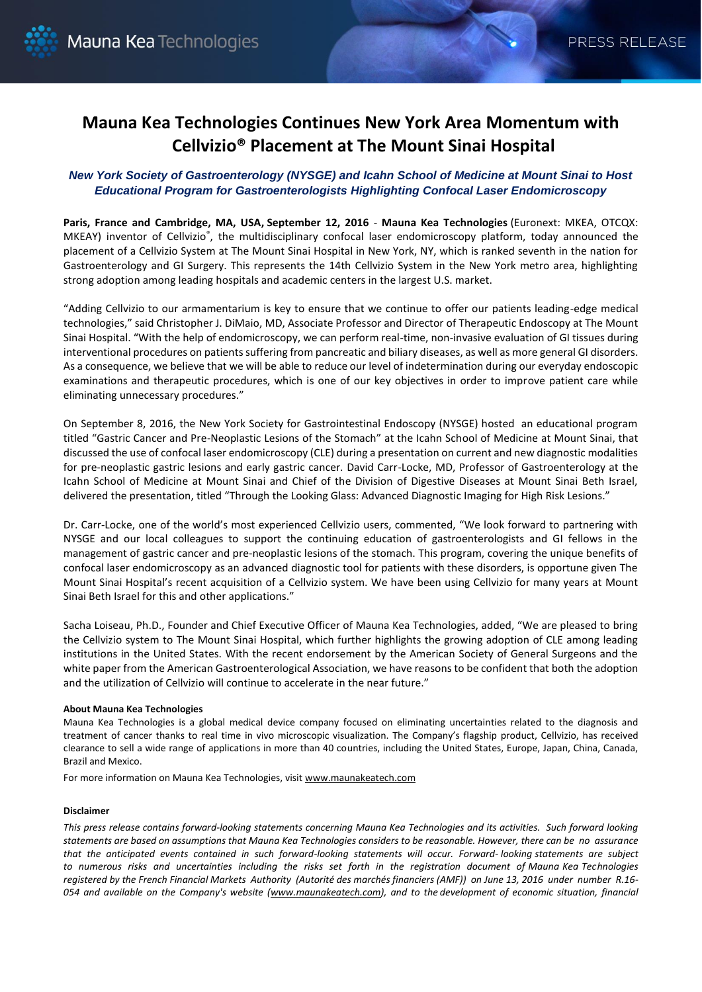## **Mauna Kea Technologies Continues New York Area Momentum with Cellvizio® Placement at The Mount Sinai Hospital**

## *New York Society of Gastroenterology (NYSGE) and Icahn School of Medicine at Mount Sinai to Host Educational Program for Gastroenterologists Highlighting Confocal Laser Endomicroscopy*

**Paris, France and Cambridge, MA, USA, September 12, 2016** - **Mauna Kea Technologies** (Euronext: MKEA, OTCQX: MKEAY) inventor of Cellvizio®, the multidisciplinary confocal laser endomicroscopy platform, today announced the placement of a Cellvizio System at The Mount Sinai Hospital in New York, NY, which is ranked seventh in the nation for Gastroenterology and GI Surgery. This represents the 14th Cellvizio System in the New York metro area, highlighting strong adoption among leading hospitals and academic centers in the largest U.S. market.

"Adding Cellvizio to our armamentarium is key to ensure that we continue to offer our patients leading-edge medical technologies," said Christopher J. DiMaio, MD, Associate Professor and Director of Therapeutic Endoscopy at The Mount Sinai Hospital. "With the help of endomicroscopy, we can perform real-time, non-invasive evaluation of GI tissues during interventional procedures on patients suffering from pancreatic and biliary diseases, as well as more general GI disorders. As a consequence, we believe that we will be able to reduce our level of indetermination during our everyday endoscopic examinations and therapeutic procedures, which is one of our key objectives in order to improve patient care while eliminating unnecessary procedures."

On September 8, 2016, the New York Society for Gastrointestinal Endoscopy (NYSGE) hosted an educational program titled "Gastric Cancer and Pre-Neoplastic Lesions of the Stomach" at the Icahn School of Medicine at Mount Sinai, that discussed the use of confocal laser endomicroscopy (CLE) during a presentation on current and new diagnostic modalities for pre-neoplastic gastric lesions and early gastric cancer. David Carr-Locke, MD, Professor of Gastroenterology at the Icahn School of Medicine at Mount Sinai and Chief of the Division of Digestive Diseases at Mount Sinai Beth Israel, delivered the presentation, titled "Through the Looking Glass: Advanced Diagnostic Imaging for High Risk Lesions."

Dr. Carr-Locke, one of the world's most experienced Cellvizio users, commented, "We look forward to partnering with NYSGE and our local colleagues to support the continuing education of gastroenterologists and GI fellows in the management of gastric cancer and pre-neoplastic lesions of the stomach. This program, covering the unique benefits of confocal laser endomicroscopy as an advanced diagnostic tool for patients with these disorders, is opportune given The Mount Sinai Hospital's recent acquisition of a Cellvizio system. We have been using Cellvizio for many years at Mount Sinai Beth Israel for this and other applications."

Sacha Loiseau, Ph.D., Founder and Chief Executive Officer of Mauna Kea Technologies, added, "We are pleased to bring the Cellvizio system to The Mount Sinai Hospital, which further highlights the growing adoption of CLE among leading institutions in the United States. With the recent endorsement by the American Society of General Surgeons and the white paper from the American Gastroenterological Association, we have reasons to be confident that both the adoption and the utilization of Cellvizio will continue to accelerate in the near future."

## **About Mauna Kea Technologies**

Mauna Kea Technologies is a global medical device company focused on eliminating uncertainties related to the diagnosis and treatment of cancer thanks to real time in vivo microscopic visualization. The Company's flagship product, Cellvizio, has received clearance to sell a wide range of applications in more than 40 countries, including the United States, Europe, Japan, China, Canada, Brazil and Mexico.

For more information on Mauna Kea Technologies, visit [www.maunakeatech.com](http://www.maunakeatech.fr/)

## **Disclaimer**

*This press release contains forward-looking statements concerning Mauna Kea Technologies and its activities. Such forward looking statements are based on assumptions that Mauna Kea Technologies considers to be reasonable. However, there can be no assurance that the anticipated events contained in such forward-looking statements will occur. Forward- looking statements are subject to numerous risks and uncertainties including the risks set forth in the registration document of Mauna Kea Technologies registered by the French Financial Markets Authority (Autorité des marchés financiers (AMF)) on June 13, 2016 under number R.16- 054 and available on the Company's website [\(www.maunakeatech.com\)](http://www.maunakeatech.fr/), and to the development of economic situation, financial*